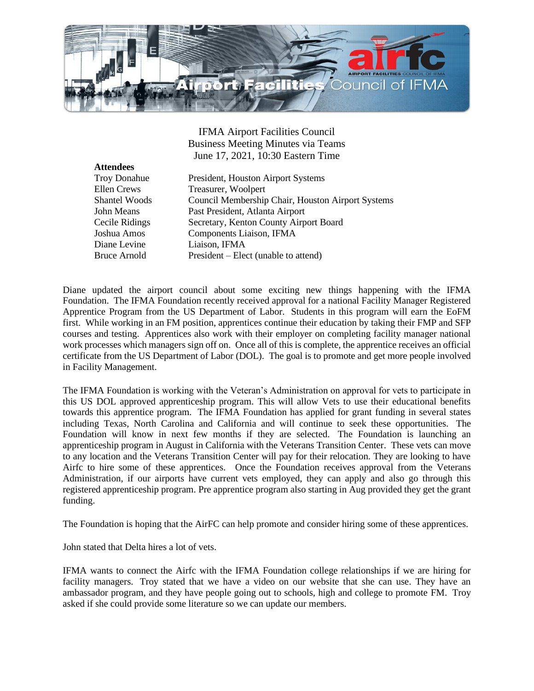

IFMA Airport Facilities Council Business Meeting Minutes via Teams June 17, 2021, 10:30 Eastern Time

| <b>Attendees</b>     |
|----------------------|
| <b>Troy Donahue</b>  |
| <b>Ellen Crews</b>   |
| <b>Shantel Woods</b> |
| John Means           |
| Cecile Ridings       |
| Joshua Amos          |
| Diane Levine         |
| <b>Bruce Arnold</b>  |

President, Houston Airport Systems Treasurer, Woolpert Council Membership Chair, Houston Airport Systems Past President, Atlanta Airport Secretary, Kenton County Airport Board Components Liaison, IFMA Liaison, IFMA  $President - Elect (unable to attend)$ 

Diane updated the airport council about some exciting new things happening with the IFMA Foundation. The IFMA Foundation recently received approval for a national Facility Manager Registered Apprentice Program from the US Department of Labor. Students in this program will earn the EoFM first. While working in an FM position, apprentices continue their education by taking their FMP and SFP courses and testing. Apprentices also work with their employer on completing facility manager national work processes which managers sign off on. Once all of this is complete, the apprentice receives an official certificate from the US Department of Labor (DOL). The goal is to promote and get more people involved in Facility Management.

The IFMA Foundation is working with the Veteran's Administration on approval for vets to participate in this US DOL approved apprenticeship program. This will allow Vets to use their educational benefits towards this apprentice program. The IFMA Foundation has applied for grant funding in several states including Texas, North Carolina and California and will continue to seek these opportunities. The Foundation will know in next few months if they are selected. The Foundation is launching an apprenticeship program in August in California with the Veterans Transition Center. These vets can move to any location and the Veterans Transition Center will pay for their relocation. They are looking to have Airfc to hire some of these apprentices. Once the Foundation receives approval from the Veterans Administration, if our airports have current vets employed, they can apply and also go through this registered apprenticeship program. Pre apprentice program also starting in Aug provided they get the grant funding.

The Foundation is hoping that the AirFC can help promote and consider hiring some of these apprentices.

John stated that Delta hires a lot of vets.

IFMA wants to connect the Airfc with the IFMA Foundation college relationships if we are hiring for facility managers. Troy stated that we have a video on our website that she can use. They have an ambassador program, and they have people going out to schools, high and college to promote FM. Troy asked if she could provide some literature so we can update our members.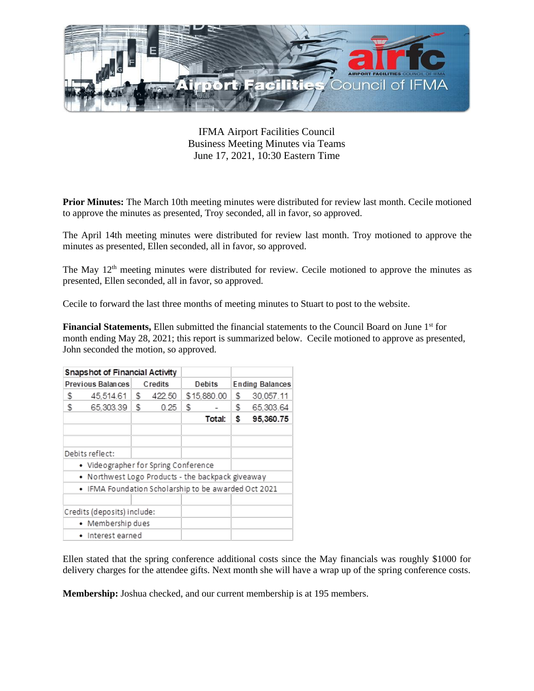

IFMA Airport Facilities Council Business Meeting Minutes via Teams June 17, 2021, 10:30 Eastern Time

**Prior Minutes:** The March 10th meeting minutes were distributed for review last month. Cecile motioned to approve the minutes as presented, Troy seconded, all in favor, so approved.

The April 14th meeting minutes were distributed for review last month. Troy motioned to approve the minutes as presented, Ellen seconded, all in favor, so approved.

The May 12<sup>th</sup> meeting minutes were distributed for review. Cecile motioned to approve the minutes as presented, Ellen seconded, all in favor, so approved.

Cecile to forward the last three months of meeting minutes to Stuart to post to the website.

**Financial Statements, Ellen** submitted the financial statements to the Council Board on June 1<sup>st</sup> for month ending May 28, 2021; this report is summarized below. Cecile motioned to approve as presented, John seconded the motion, so approved.

## **Snapshot of Financial Activity**

| Previous Balances Credits |                                              |  |  |  |  | Debits Ending Balances |                                     |
|---------------------------|----------------------------------------------|--|--|--|--|------------------------|-------------------------------------|
|                           | \$45,514.61 \$422.50 \$15,880.00 \$30,057.11 |  |  |  |  |                        |                                     |
| S.                        |                                              |  |  |  |  |                        | 65,303.39 \$ 0.25 \$ - \$ 65,303.64 |
|                           |                                              |  |  |  |  |                        | Total: \$ 95,360.75                 |

Debits reflect:

- Videographer for Spring Conference
- Northwest Logo Products the backpack giveaway
- IFMA Foundation Scholarship to be awarded Oct 2021

Credits (deposits) include:

- Membership dues
- · Interest earned

Ellen stated that the spring conference additional costs since the May financials was roughly \$1000 for delivery charges for the attendee gifts. Next month she will have a wrap up of the spring conference costs.

**Membership:** Joshua checked, and our current membership is at 195 members.